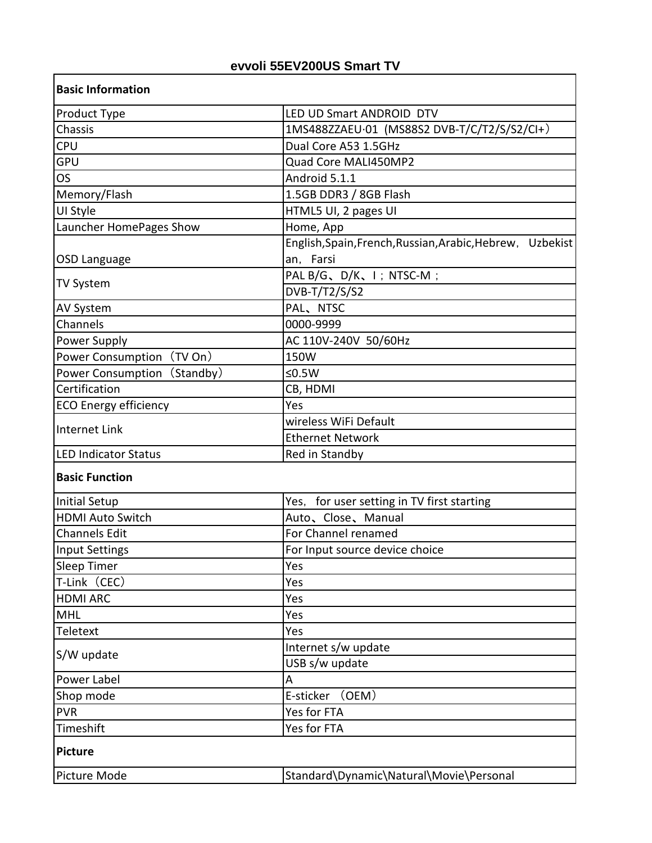## **evvoli 55EV200US Smart TV**

 $\overline{\mathbf{I}}$ 

| <b>Basic Information</b>     |                                                              |
|------------------------------|--------------------------------------------------------------|
| Product Type                 | LED UD Smart ANDROID DTV                                     |
| Chassis                      | 1MS488ZZAEU.01 (MS88S2 DVB-T/C/T2/S/S2/CI+)                  |
| <b>CPU</b>                   | Dual Core A53 1.5GHz                                         |
| <b>GPU</b>                   | Quad Core MALI450MP2                                         |
| <b>OS</b>                    | Android 5.1.1                                                |
| Memory/Flash                 | 1.5GB DDR3 / 8GB Flash                                       |
| UI Style                     | HTML5 UI, 2 pages UI                                         |
| Launcher HomePages Show      | Home, App                                                    |
|                              | English, Spain, French, Russian, Arabic, Hebrew,<br>Uzbekist |
| OSD Language                 | an, Farsi                                                    |
|                              | PAL B/G、D/K、I; NTSC-M;                                       |
| <b>TV System</b>             | DVB-T/T2/S/S2                                                |
| AV System                    | PAL、NTSC                                                     |
| Channels                     | 0000-9999                                                    |
| Power Supply                 | AC 110V-240V 50/60Hz                                         |
| Power Consumption (TV On)    | 150W                                                         |
| Power Consumption (Standby)  | ≤ $0.5W$                                                     |
| Certification                | CB, HDMI                                                     |
| <b>ECO Energy efficiency</b> | Yes                                                          |
|                              | wireless WiFi Default                                        |
| <b>Internet Link</b>         | <b>Ethernet Network</b>                                      |
| <b>LED Indicator Status</b>  | Red in Standby                                               |
| <b>Basic Function</b>        |                                                              |
| <b>Initial Setup</b>         | Yes, for user setting in TV first starting                   |
| <b>HDMI Auto Switch</b>      | Auto, Close, Manual                                          |
| <b>Channels Edit</b>         | For Channel renamed                                          |
| Input Settings               | For Input source device choice                               |
| Sleep Timer                  | Yes                                                          |
| T-Link (CEC)                 | Yes                                                          |
| <b>HDMI ARC</b>              | Yes                                                          |
| <b>MHL</b>                   | Yes                                                          |
| Teletext                     | Yes                                                          |
| S/W update                   | Internet s/w update                                          |
|                              | USB s/w update                                               |
| Power Label                  | А                                                            |
| Shop mode                    | (OEM)<br>E-sticker                                           |
| <b>PVR</b>                   | Yes for FTA                                                  |
| Timeshift                    | Yes for FTA                                                  |
| <b>Picture</b>               |                                                              |
| Picture Mode                 | Standard\Dynamic\Natural\Movie\Personal                      |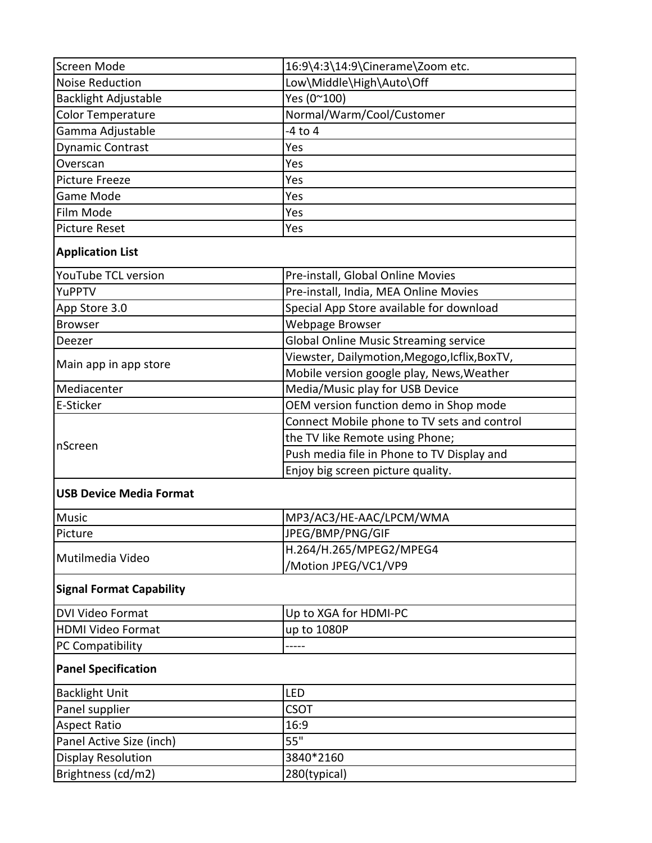| Screen Mode                     | 16:9\4:3\14:9\Cinerame\Zoom etc.              |  |
|---------------------------------|-----------------------------------------------|--|
| <b>Noise Reduction</b>          | Low\Middle\High\Auto\Off                      |  |
| <b>Backlight Adjustable</b>     | Yes (0~100)                                   |  |
| <b>Color Temperature</b>        | Normal/Warm/Cool/Customer                     |  |
| Gamma Adjustable                | $-4$ to $4$                                   |  |
| <b>Dynamic Contrast</b>         | Yes                                           |  |
| Overscan                        | Yes                                           |  |
| <b>Picture Freeze</b>           | Yes                                           |  |
| <b>Game Mode</b>                | Yes                                           |  |
| Film Mode                       | Yes                                           |  |
| <b>Picture Reset</b>            | Yes                                           |  |
| <b>Application List</b>         |                                               |  |
| YouTube TCL version             | Pre-install, Global Online Movies             |  |
| YuPPTV                          | Pre-install, India, MEA Online Movies         |  |
| App Store 3.0                   | Special App Store available for download      |  |
| <b>Browser</b>                  | Webpage Browser                               |  |
| Deezer                          | <b>Global Online Music Streaming service</b>  |  |
|                                 | Viewster, Dailymotion, Megogo, Icflix, BoxTV, |  |
| Main app in app store           | Mobile version google play, News, Weather     |  |
| Mediacenter                     | Media/Music play for USB Device               |  |
| E-Sticker                       | OEM version function demo in Shop mode        |  |
| nScreen                         | Connect Mobile phone to TV sets and control   |  |
|                                 | the TV like Remote using Phone;               |  |
|                                 | Push media file in Phone to TV Display and    |  |
|                                 | Enjoy big screen picture quality.             |  |
| <b>USB Device Media Format</b>  |                                               |  |
| <b>Music</b>                    | MP3/AC3/HE-AAC/LPCM/WMA                       |  |
| Picture                         | JPEG/BMP/PNG/GIF                              |  |
| Mutilmedia Video                | H.264/H.265/MPEG2/MPEG4                       |  |
|                                 | /Motion JPEG/VC1/VP9                          |  |
| <b>Signal Format Capability</b> |                                               |  |
| <b>DVI Video Format</b>         | Up to XGA for HDMI-PC                         |  |
| <b>HDMI Video Format</b>        | up to 1080P                                   |  |
| PC Compatibility                | -----                                         |  |
| <b>Panel Specification</b>      |                                               |  |
| <b>Backlight Unit</b>           | LED                                           |  |
| Panel supplier                  | <b>CSOT</b>                                   |  |
| <b>Aspect Ratio</b>             | 16:9                                          |  |
| Panel Active Size (inch)        | $55^{\frac{1}{1}}$                            |  |
| <b>Display Resolution</b>       | 3840*2160                                     |  |
| Brightness (cd/m2)              | 280(typical)                                  |  |
|                                 |                                               |  |